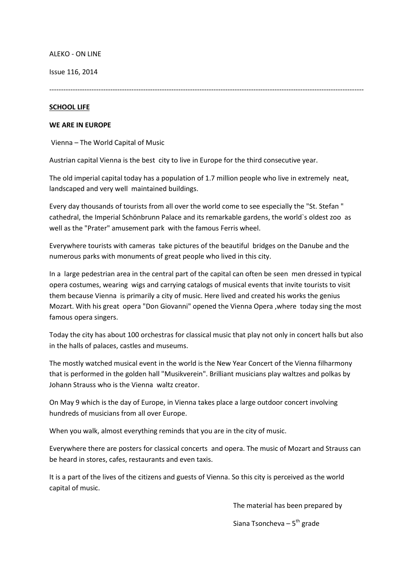ALEKO - ON LINE

Issue 116, 2014

--------------------------------------------------------------------------------------------------------------------------------------

### **SCHOOL LIFE**

### **WE ARE IN EUROPE**

Vienna – The World Capital of Music

Austrian capital Vienna is the best city to live in Europe for the third consecutive year.

The old imperial capital today has a population of 1.7 million people who live in extremely neat, landscaped and very well maintained buildings.

Every day thousands of tourists from all over the world come to see especially the "St. Stefan " cathedral, the Imperial Schönbrunn Palace and its remarkable gardens, the world`s oldest zoo as well as the "Prater" amusement park with the famous Ferris wheel.

Everywhere tourists with cameras take pictures of the beautiful bridges on the Danube and the numerous parks with monuments of great people who lived in this city.

In a large pedestrian area in the central part of the capital can often be seen men dressed in typical opera costumes, wearing wigs and carrying catalogs of musical events that invite tourists to visit them because Vienna is primarily a city of music. Here lived and created his works the genius Mozart. With his great opera "Don Giovanni" opened the Vienna Opera ,where today sing the most famous opera singers.

Today the city has about 100 orchestras for classical music that play not only in concert halls but also in the halls of palaces, castles and museums.

The mostly watched musical event in the world is the New Year Concert of the Vienna filharmony that is performed in the golden hall "Musikverein". Brilliant musicians play waltzes and polkas by Johann Strauss who is the Vienna waltz creator.

On May 9 which is the day of Europe, in Vienna takes place a large outdoor concert involving hundreds of musicians from all over Europe.

When you walk, almost everything reminds that you are in the city of music.

Everywhere there are posters for classical concerts and opera. The music of Mozart and Strauss can be heard in stores, cafes, restaurants and even taxis.

It is a part of the lives of the citizens and guests of Vienna. So this city is perceived as the world capital of music.

The material has been prepared by

 $S$ iana Tsoncheva –  $S^{th}$  grade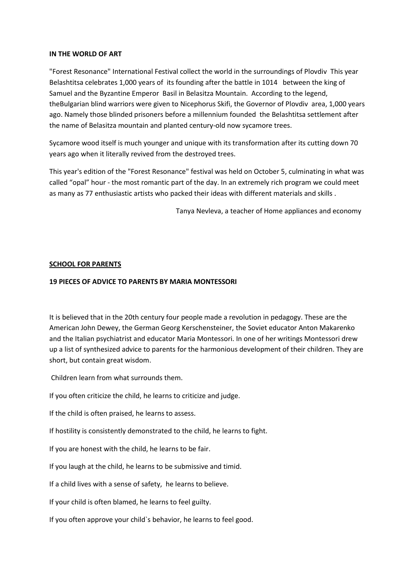### **IN THE WORLD OF ART**

"Forest Resonance" International Festival collect the world in the surroundings of Plovdiv This year Belashtitsa celebrates 1,000 years of its founding after the battle in 1014 between the king of Samuel and the Byzantine Emperor Basil in Belasitza Mountain. According to the legend, theBulgarian blind warriors were given to Nicephorus Skifi, the Governor of Plovdiv area, 1,000 years ago. Namely those blinded prisoners before a millennium founded the Belashtitsa settlement after the name of Belasitza mountain and planted century-old now sycamore trees.

Sycamore wood itself is much younger and unique with its transformation after its cutting down 70 years ago when it literally revived from the destroyed trees.

This year's edition of the "Forest Resonance" festival was held on October 5, culminating in what was called "opal" hour - the most romantic part of the day. In an extremely rich program we could meet as many as 77 enthusiastic artists who packed their ideas with different materials and skills .

Tanya Nevleva, a teacher of Home appliances and economy

### **SCHOOL FOR PARENTS**

### **19 PIECES OF ADVICE TO PARENTS BY MARIA MONTESSORI**

It is believed that in the 20th century four people made a revolution in pedagogy. These are the American John Dewey, the German Georg Kerschensteiner, the Soviet educator Anton Makarenko and the Italian psychiatrist and educator Maria Montessori. In one of her writings Montessori drew up a list of synthesized advice to parents for the harmonious development of their children. They are short, but contain great wisdom.

Children learn from what surrounds them.

If you often criticize the child, he learns to criticize and judge.

If the child is often praised, he learns to assess.

If hostility is consistently demonstrated to the child, he learns to fight.

If you are honest with the child, he learns to be fair.

If you laugh at the child, he learns to be submissive and timid.

If a child lives with a sense of safety, he learns to believe.

If your child is often blamed, he learns to feel guilty.

If you often approve your child`s behavior, he learns to feel good.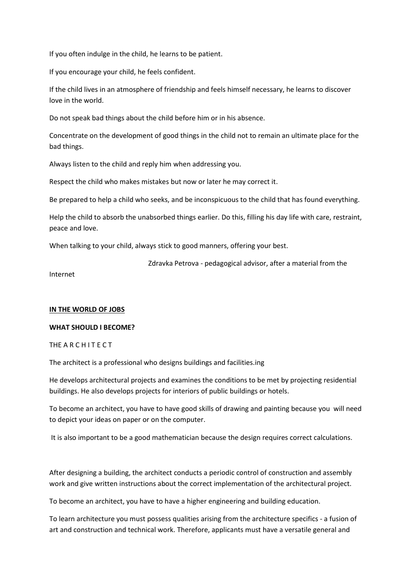If you often indulge in the child, he learns to be patient.

If you encourage your child, he feels confident.

If the child lives in an atmosphere of friendship and feels himself necessary, he learns to discover love in the world.

Do not speak bad things about the child before him or in his absence.

Concentrate on the development of good things in the child not to remain an ultimate place for the bad things.

Always listen to the child and reply him when addressing you.

Respect the child who makes mistakes but now or later he may correct it.

Be prepared to help a child who seeks, and be inconspicuous to the child that has found everything.

Help the child to absorb the unabsorbed things earlier. Do this, filling his day life with care, restraint, peace and love.

When talking to your child, always stick to good manners, offering your best.

Zdravka Petrova - pedagogical advisor, after a material from the

Internet

# **IN THE WORLD OF JOBS**

# **WHAT SHOULD I BECOME?**

# THE A R C H I T E C T

The architect is a professional who designs buildings and facilities.ing

He develops architectural projects and examines the conditions to be met by projecting residential buildings. He also develops projects for interiors of public buildings or hotels.

To become an architect, you have to have good skills of drawing and painting because you will need to depict your ideas on paper or on the computer.

It is also important to be a good mathematician because the design requires correct calculations.

After designing a building, the architect conducts a periodic control of construction and assembly work and give written instructions about the correct implementation of the architectural project.

To become an architect, you have to have a higher engineering and building education.

To learn architecture you must possess qualities arising from the architecture specifics - a fusion of art and construction and technical work. Therefore, applicants must have a versatile general and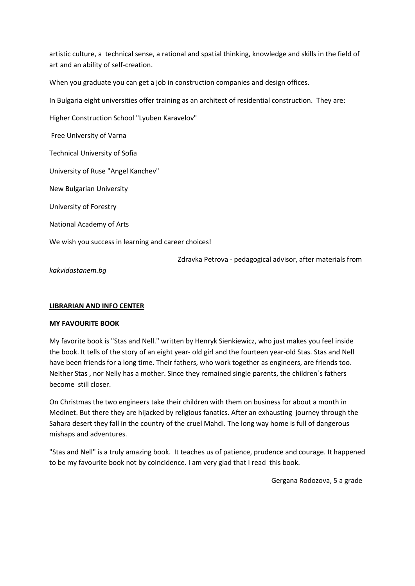artistic culture, a technical sense, a rational and spatial thinking, knowledge and skills in the field of art and an ability of self-creation.

When you graduate you can get a job in construction companies and design offices.

In Bulgaria eight universities offer training as an architect of residential construction. They are:

Higher Construction School "Lyuben Karavelov"

Free University of Varna

Technical University of Sofia

University of Ruse "Angel Kanchev"

New Bulgarian University

University of Forestry

National Academy of Arts

We wish you success in learning and career choices!

Zdravka Petrova - pedagogical advisor, after materials from

*kakvidastanem.bg*

#### **LIBRARIAN AND INFO CENTER**

### **MY FAVOURITE BOOK**

My favorite book is "Stas and Nell." written by Henryk Sienkiewicz, who just makes you feel inside the book. It tells of the story of an eight year- old girl and the fourteen year-old Stas. Stas and Nell have been friends for a long time. Their fathers, who work together as engineers, are friends too. Neither Stas , nor Nelly has a mother. Since they remained single parents, the children`s fathers become still closer.

On Christmas the two engineers take their children with them on business for about a month in Medinet. But there they are hijacked by religious fanatics. After an exhausting journey through the Sahara desert they fall in the country of the cruel Mahdi. The long way home is full of dangerous mishaps and adventures.

"Stas and Nell" is a truly amazing book. It teaches us of patience, prudence and courage. It happened to be my favourite book not by coincidence. I am very glad that I read this book.

Gergana Rodozova, 5 a grade